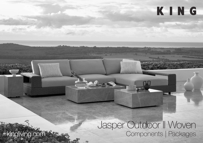Jasper Outdoor II Woven kingliving.com **Components** | Packages

KING

DT2020112 V7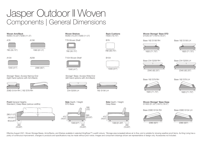# Jasper Outdoor II Woven Components | General Dimensions

## Woven Arm/Back

W260 (10.25") H290 (11.5")



1560 (61.5")

A156

2080 (82")



Storage\* Base: Access Narrow End (right-hand options with Arm/Back)



208D S104 RH | 182 S78 RH 234 S208 LH 234 S208 LH 182 S156 LH

Front General Heights Standard | Deep Base (various widths)



Woven Shelves W260 (10.25") H290 (11.5")

T78 Woven Shelf







Storage\* Base: Access Wide End (left-hand options with Arm/Back)





Side Depth / Height<br>STD Base





Side Depth / Height Deep Base



Woven Storage\* Base STD D1040 (41") H470 (18.5")













Base 182 S78 RH









Woven Storage\* Base Deep D1300 (51.25") H470 (18.5")

Base 208D S104 RH



Base 208D S104 LH



Effective August 2021. Woven Storage Bases, Arms/Backs, and Shelves available in selected KingRope™ LuxeW colours. \*Storage area (unsealed) allows air to flow, and is suitable for stowing weather-proof items. As King Livi Effective August 2021. Woven Storage Bases, Arms/Backs, and Shelves available in selected KingRope™ LuxeW colours. \*Storage area (unsealed) allows air to flow, and is suitable for stowing weather-proof items. As King Livin policy of continuous improvement, changes to products and specifications may be made without prior notice. Images and component drawings shown are representative of design only. Accessories not included.



Back Cushions H500 (19.75")

B104

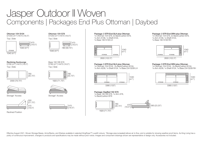# Jasper Outdoor II Woven Components | Packages End Plus Ottoman | Daybed

#### Ottoman 104 S104 D1040 (41") H470 (18.5")

Top | Side



#### Reclining Sunlounge D780 (41") H470 (18.5")

Top | Side



2000 (78.75")



Storage\* Access Storage\* Access



Reclined Position

#### Ottoman 104 S78 D1040 (41") H470 (18.5") Top | Side

470 (18.5") 1040 (41") 780 (30.75")

> 470 (18.5")

780 (30.75")

Base 182 DB S78 D780 (41") H470 (18.5") Top | Side

1820 (71.75")

#### 1x Ottoman 104 S78, 2x BackCushion B78, 1x Arm A156, 1x Shelf A104, 1x Base 182 S156 LH

Package: 2 STR End SLH plus Ottoman



2600 (102.5")

#### Package: 3 STR End SLH plus Ottoman 1x Ottoman 104 S104 , 2x BackCushion B104, 1x Arm A208, 1x Shelf A104, 1x Base 234 S208 LH



Package: DayBed 182 S78 1x Base 182 DB S78, 1x Arm A78, 1x BackCushion B78



### Package: 2 STR End SRH plus Ottoman

1x Ottoman 104 S78, 2x BackCushion B78, 1x Arm A156, 1x Shelf A104, 1x Base 182 S156 RH



2600 (102.5")

#### Package: 3 STR End SRH plus Ottoman

1x Ottoman 104 S104 , 2x BackCushion B104, 1x Arm A208, 1x Shelf A104, 1x Base 234 S208 RH



Effective August 2021. Woven Storage Bases, Arms/Backs, and Shelves available in selected KingRope™ LuxeW colours. \*Storage area (unsealed) allows air to flow, and is suitable for stowing weather-proof items. As King Livi Effective August 2021. Woven Storage Bases, Arms/Backs, and Shelves available in selected KingRope™ LuxeW colours. \*Storage area (unsealed) allows air to flow, and is suitable for stowing weather-proof items. As King Livin policy of continuous improvement, changes to products and specifications may be made without prior notice. Images and component drawings shown are representative of design only. Accessories not included.